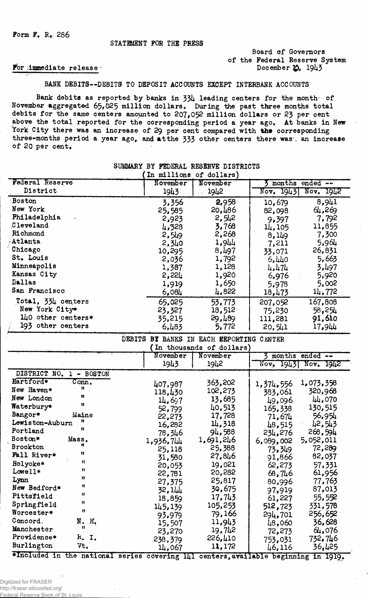### Board of Governors of the Federal Reserve System December 19, 1943

#### For immediate release

BANK DEBITS--DEBITS TO DEPOSIT ACCOUNTS EXCEPT INTERBANK ACCOUNTS

Bank debits as reported by banks in 334 leading centers for the month of November aggregated  $65,025$  million dollars. During the past three months total debits for the same centers amounted to 207,052 million dollars or 23 per cent above the total reported for the corresponding period a year ago. At banks in New York City there was an increase of 29 per cent compared with the corresponding three-months period a year ago, and at the 333 other centers there was. an increase of 20 per cent.

|                    | In millions | of dollars) |           |           |
|--------------------|-------------|-------------|-----------|-----------|
| Federal Reserve    | November    | November    | months    | $end - -$ |
| District           | 1943        | 1942        | Nov. 1943 | Nov. 1942 |
| Boston             | 3,356       | 2,958       | 10,679    | 8,941     |
| New York           | 25,585      | 20,486      | 82,098    | 64,269    |
| Philadelphia       | 2,923       | 2,542       | 9,397     | 7,792     |
| Cleveland          | 4,328       | 3,768       | 14,105    | 11,855    |
| Richmond           | 2,549       | 2,268       | 8,149     | 7,300     |
| Atlanta            | 2,340       | 1,944       | 7,211     | 5,964     |
| Chicago            | 10,295      | 8,497       | 33,071    | 26,831    |
| St. Louis          | 2,036       | 1,792       | 6,440     | 5,663     |
| Minneapolis        | 1,387       | 1,128       | 4,474     | 3,497     |
| Kansas City        | 2,224       | 1,920       | 6,976     | 5,920     |
| Dallas             | 1,919       | 1,650       | 5,978     | 5,002     |
| San Francisco      | 6,084       | 4,822       | 18,473    | 14,772    |
| Total, 334 centers | 65,025      | 53,773      | 207,052   | 167,808   |
| New York City*     | 23,327      | 18,512      | 75,230    | 58,254    |
| 140 other centers* | 35,215      | 29,489      | 111,281   | 91,610    |
| 193 other centers  | 6,483       | 5,772       | 20, 541   | 17,944    |

DEBITS BY BANKS IN EACH EEPORTING CENTER

### SUMMARY BY FEDERAL RESERVE DISTRICTS

|                                  |              | In thousands of dollars) |                                       |
|----------------------------------|--------------|--------------------------|---------------------------------------|
|                                  | November     | November                 | months ended --                       |
|                                  | 1943         | 1942                     | Nov, 1943 Nov. 1942                   |
| DISTRICT NO.<br>$1 - BOSTON$     |              |                          |                                       |
| Hartford*<br>Conn.               | 407,987      | 363,202                  | 1,073,358<br>1,374,556                |
| 11.<br>New Haven*                | 118,430      | 102,273                  | 320,968<br>383,061                    |
| Ħ<br>New London                  | 14,697       | 13,685                   | 44,070<br>49,096                      |
| Ħ<br>Waterbury*                  | 52,799       | 40,513                   | 130,515<br>165,338                    |
| Bangor*<br>Maine                 | 22,273       | 17,728                   | 56,954<br>71,674                      |
| 11<br>Lewiston-Auburn            | 16,282       | 14,318                   | 42,543<br>48,515                      |
| $\mathbf{H}$ .<br>Portland       | 78,346       | 94,588                   | 268,594<br>234,276                    |
| <b>Boston*</b><br>Mass.          | 1,936,744    | 1,691,246                | 5,052,011<br>6,089,002                |
| <b>Brockton</b>                  | 25,118       | 25,388                   | 72,289<br>73,349                      |
| 11<br>Fall River*                | 31,580       | 27,846                   | 82,037<br>91,866                      |
| Ħ<br>Holyoke*                    | 20,053       | 19,021                   | 57,331<br>62,273                      |
| Ħ<br>Lowell*                     | 22,781       | 20,282                   | 61,956<br>68,746                      |
| "<br>Lynn                        | 27,375       | 25,817                   | 77,763<br>80,996                      |
| n<br>New Bedford*                | 32,144       | 30,675                   | 87,013<br>97,919                      |
| Ħ<br>Pittsfield                  | 18,859       | 17,743                   | 55,552<br>61,227                      |
| n<br>Springfield                 | 145,139      | 105,253                  | 331,578<br>512,723                    |
| Ħ<br>Worcester*                  | 93,979       | 79,166                   | 256,652<br>294,701                    |
| Concord,<br>N.<br>Н,             | 15,507       | 11,943                   | 36,628<br>48,060                      |
| 8<br>Manchester                  | 23,270       | 19,742                   | 64,076<br>72,273                      |
| Providence*<br>R. I.             | 238,379      | 226,410                  | 732,746<br>753,031                    |
| Burlington<br>Vt.                | 14,067       | 11,172                   | 36,425<br>46,116                      |
| *Included in the national series | covering 141 |                          | centers, available beginning in 1919. |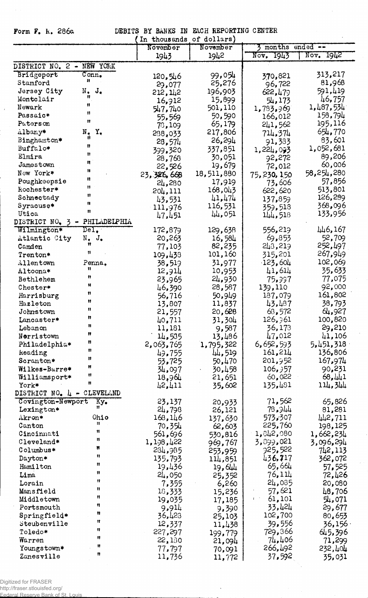| EACH REPORTING CENTER<br>Form F. K. 286a<br>DEBITS BY BANKS IN |                             |                          |                  |                                       |                      |
|----------------------------------------------------------------|-----------------------------|--------------------------|------------------|---------------------------------------|----------------------|
|                                                                |                             | In thousands of dollars) |                  |                                       |                      |
|                                                                |                             | November                 | November         | 3 months ended --                     |                      |
|                                                                |                             | 1943                     | 1942             | Nov, 1943                             | Nov. 1942            |
| DISTRICT NO. 2 - NEW YORK                                      |                             |                          |                  |                                       |                      |
| Bridgeport                                                     | Conn.                       | 120, 546                 | 99,054           | 370,821                               | 313,217              |
| Stamford                                                       | n                           | 29,077                   | 25,276           | 96,722                                | 81,968               |
| Jersey City                                                    | J.<br>$N_{\bullet}$         | 212, 142                 | 196,903          | 622, 479                              | 591,419              |
| Montelair                                                      |                             | 16,912                   | 15,899           | 54,173                                | 46,757               |
| Newark                                                         | 11                          | 547,740                  | 501,110          | 1,783,969                             | 1,487,534            |
| Passaic*                                                       | 11                          | 55,569                   | 50,590           | 166,012                               | 158,794              |
| Paterson                                                       | Ħ                           | 78,109                   | 65,179           | 241,562                               | 195,116              |
| Albany*                                                        | $N_{\bullet}$<br>Y,         | 238,033                  | 217,806          | 714,374                               | 654,770              |
| Binghamton*                                                    |                             | 28,574                   | 26,294           | 91,383                                | 83,601               |
| Buffalo*                                                       | n                           | 399,320                  | 337,851          | 1,224,093                             | 1,052,681            |
| Elmira                                                         | Ħ                           | 28,768                   | 30,051           | 92,272                                | 89,206               |
| Jamestown                                                      | n                           | 22,526                   | 19,679           | 72,012                                | 60,006               |
| New York*                                                      | Ħ                           | 23,326,668               | 18,511,880       | 75,230,150                            | 58,254,280           |
| Poughkeepsie                                                   | n                           | 24,280                   | 17,919           | 73,606                                | 57,856               |
| kochester*                                                     | n                           | 204,111                  | 168,043          | 622,620                               | 513,801              |
| Schnectady                                                     | 11                          | 43,531                   | 41,474           | 137,859                               | 126,289              |
| Syracuse*                                                      | H                           | 111,976                  | 116,531          | 359,518                               | 368,096              |
| Utica                                                          | Ħ                           | 47,451                   | 44,051           | 144,518                               | 133,956              |
| DISTRICT NO. 3 - PHILADELPHIA                                  |                             |                          |                  |                                       |                      |
| Wilmington*                                                    | $\texttt{Del}$ .            | 172,879                  | 129,638          | 556,219                               | 446,167              |
| Atlantic City                                                  | $N_{\bullet}$ $J_{\bullet}$ | 20,263                   | 16,584           | 69,853                                | 52,709               |
| Camden                                                         | Ħ                           | 77,103                   | 82,235           | 243,219                               | 252,497              |
| Trenton*                                                       | Ħ                           | 109,438                  | 101,160          | 315,201                               | 267,949              |
| Allentown                                                      | Penna.<br>n                 | 38,519                   | 31,977           | $-123,604$                            | 102,069              |
| Altoona*                                                       | 11                          | 12,914                   | 10,953           | 41,614                                | 35,633               |
| Bethlehem                                                      | Ħ                           | 23,965                   | 24,930           | 75,337                                | 77,075               |
| Chester*                                                       | Ħ                           | 46,390                   | 28,587           | 139,110                               | 92,000               |
| Harrisburg                                                     | Ħ                           | 56,716                   | 50,949           | 187,079                               | 161,802              |
| Hazleton                                                       | 11                          | 13,807                   | 11,837           | 43,487                                | 38,793               |
| Johnstown                                                      | Ħ                           | 21,557                   | 20,628           | 63,572                                | 64,927               |
| Lancaster*                                                     | Ħ                           | 40,711                   | 31,304           | 126,361                               | 100,820              |
| Lebanon                                                        | n                           | 11,181                   | 9,587            | 36,173                                | 29,210               |
| Norristown                                                     | n                           | 14,535                   | 13,486           | 47,012<br>6,652,593                   | 41,106               |
| Philadelphia*<br>keading                                       | Ħ                           | 2,063,765                | 1,795,322        | 161,214                               | 5,451,318<br>136,806 |
| Scranton*                                                      | Ħ                           | 49,755                   | 44,519           | 201,952                               | 167,974              |
| Wilkes-Barre*                                                  | Ħ                           | 53,725                   | 50,470<br>30,458 | 106,357                               | 90,231               |
| Williamsport*                                                  | Ħ                           | 34,097<br>18,964         | 21,651           | 60,022                                | 68,441               |
| York*                                                          | Ħ                           | 42,411                   | 35,602           | 135,481                               | 114,344              |
| DISTRICT NO. 4 - CLEVELAND                                     |                             |                          |                  |                                       |                      |
| Covington-Newport                                              | Ky.                         | 23,137                   | 20,933           | 71,562                                | 65,826               |
| Lexington*                                                     |                             | 24,798                   | 26,121           | 78.944                                | 81,281               |
| Akron*                                                         | Ohio                        | 163,146                  | 137,630          | 573,307                               | 442,711              |
| Canton                                                         | Ħ                           | 70,354                   | 62,603           | 225,760                               | 198,125              |
| Cincinnati                                                     | Ħ                           | 561,696                  | 530,816          | 1,842,080                             | 1,662,234            |
| Cleveland*                                                     | 8                           | 1,198,422                | 969,767          | 3,899,021                             | 3,096,294            |
| Columbus*                                                      | n                           | 284,985                  | 253,959          | 925,522                               | 742,113              |
| Dayton*                                                        | n                           | 135,793                  | 114,851          | 436.717                               | 362,072              |
| Hamilton                                                       | 11                          | 19,436                   | 19,644           | 65,664                                | 57,525               |
| Lima                                                           | Ħ                           | 24,050                   | 25,352           | 76,114                                | 72,426               |
| Lorain                                                         | Ħ                           | 7,355                    | 6,260            | 24,035                                | 20,080               |
| Mansfield                                                      | 8                           | 18,333                   | 15,236           | 57,621                                | 48,706               |
| Middletown                                                     | Ħ                           | 19,035                   | 17,185           | 61,101<br>$\mathbf{f} = \mathbf{f}$ . | 54,071               |
| Portsmouth                                                     | n                           | 9,914                    | 9,390            | 33,424                                | 29,677               |
| Springfield*                                                   | Ħ                           | 36,423                   | 25,103           | 102,700                               | 80,653               |
| Steubenville                                                   | Ħ                           | 12,337                   | 11,438           | 39,556                                | 36,156               |
| Toledo*                                                        | Ħ                           | 227,297                  | 199,779          | 729,366                               | 645,396              |
| Warren                                                         | Ħ                           | 22,130                   | 21,094           | 74,406                                | 71,299               |
| Youngstown*                                                    | 11                          | 77,797                   | 70,091           | 266,492                               | 232,404              |
| Zanesville                                                     | π                           | 11,736                   | 11,772           | 37,592                                | 35,031               |

l,

 $\bar{z}$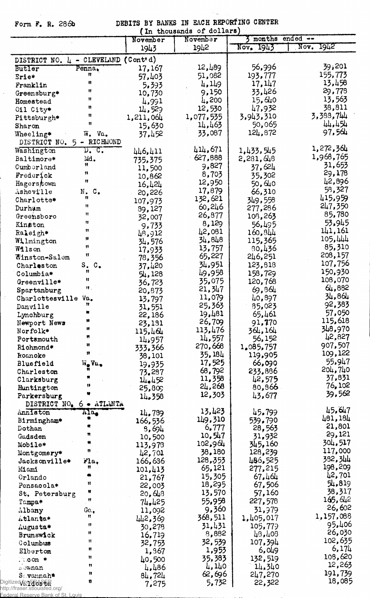$\gamma_{\rm{max}}$ 

| DEBITS BY BANKS IN EACH REPORTING CENTER<br>Form F. R. 286b<br>(In thousands of dollars) |                          |                       |                   |                    |                    |
|------------------------------------------------------------------------------------------|--------------------------|-----------------------|-------------------|--------------------|--------------------|
|                                                                                          |                          | November              | November          | 3 months ended --  |                    |
|                                                                                          |                          | 1943                  | 1942              | Nov. 1943          | Nov.<br>1942       |
| DISTRICT NO. 4 - CLEVELAND                                                               |                          | (Cont <sup>t</sup> d) |                   |                    |                    |
| Butler                                                                                   | Penna,<br>n              | 17,167                | 12,489            | 56,996             | 39,201<br>155,773  |
| Erie*                                                                                    | n                        | 57,403                | 51,082<br>4,149   | 193,777<br>17, 147 | 13,458             |
| Franklin<br>Greensburg*                                                                  | Ħ                        | 5,393<br>10,730       | 9,150             | 33,426             | 29,778             |
| Homestead                                                                                | Ħ                        | 4,991                 | 4,200             | 15,640             | 13,563             |
| Cil City*                                                                                | Ħ                        | 14,529                | 12,530            | 47,932             | 38,811             |
| Pittsburgh*                                                                              | Ħ                        | 1,211,064             | 1,077,535         | 3,943,310          | 3,388,744          |
| Sharon                                                                                   | Ħ                        | 15,630                | 14,463            | 50,065             | 44,454             |
| Wheeling*                                                                                | W. Va.                   | 37,452                | 33,087            | 124,872            | 97,564             |
| DISTRICT NO.                                                                             | 5 - RICHMOND             |                       |                   |                    | 1,272,364          |
| Washington                                                                               | <u>n. c.</u>             | 446,411               | 414,671           | 1,433,545          | 1,968,765          |
| Baltimore*                                                                               | Md.<br>Ħ                 | 735,375               | 627,888<br>9,827  | 2,281,648          | 31,653             |
| Cumberland                                                                               | n                        | 11,500                | 8,703             | 37,624             | 29,178             |
| Frederick                                                                                | Ħ                        | 10,862                | 12,950            | 35,302<br>50,640   | 42,896             |
| Hagerstown<br>Asheville                                                                  | N.C.                     | 16,424                | 17,879            | 66,310             | 58,327             |
| Charlotte*                                                                               | Ħ                        | 20,226                | 132,621           | 349,558            | 415,959            |
| Durham                                                                                   | Ħ                        | 107,973<br>89,127     | 60,246            | 277,286            | 247,350            |
| Greensboro                                                                               | Ħ                        | 32,007                | 26,877            | 108,263            | 85,780             |
| Kinston                                                                                  | Ħ                        | 9,733                 | 8,129             | 56,495             | 53.945             |
| Raleigh*                                                                                 | Ħ                        | 48,912                | 42,081            | 160,844            | 141,161            |
| Wilmington                                                                               | Ħ                        | 34,576                | 34,848            | 115,365            | 105,444            |
| Wilson                                                                                   | Ħ                        | 17,933                | 13,757            | 80,436             | 85,310             |
| Winston-Salem                                                                            | Ħ                        | 78,356                | 65,227            | 246,251            | 208,157            |
| Charleston                                                                               | s.<br>$c_{\bullet}$<br>Ħ | 37,420                | 34,951            | 123,818            | 107,756<br>150,930 |
| Columbia*                                                                                | Ħ                        | 54,128                | 49,958            | 158,729            | 108,070            |
| Greenville*                                                                              | $\mathbf{H}$ .           | 36,723                | 35,075<br>21,347  | 120,768            | 64,882             |
| Spartanburg<br>Charlottesville Va.                                                       |                          | 20,873                | 11,079            | 69,864<br>40,897   | 34,864             |
| Danville                                                                                 | Ħ                        | 13,797<br>31,551      | 25,363            | 35,023             | 92,383             |
| Lynchburg                                                                                |                          | 22,186                | 19,481            | 65,461             | 57,050             |
| Newport News                                                                             | 88                       | 23,131                | 26,709            | 91,770             | 115,618            |
| Norfolk*                                                                                 | Ħ                        | 115,464               | 113,476           | 364,164            | 348,970            |
| Portsmouth                                                                               | Ħ                        | 14,957                | 14,557            | 56,152             | 42,827             |
| Richmond*                                                                                | Ħ                        | 333.366               | 270,668           | 1,085,757          | 907,507            |
| Roanoke                                                                                  | Ħ                        | 38,101                | 35, 184           | 119,905            | 109,122            |
| Bluefield                                                                                | W.Va.                    | 19,935                | 17,525            | 66,090             | 55,947<br>204,740  |
| Charleston                                                                               |                          | 73.287                | 68,792            | 233,886            | 37,831             |
| Clarksburg                                                                               |                          | 14.452                | 11,358<br>24,268  | 42,575<br>80, 866  | 76,102             |
| Huntington<br>Parkersburg                                                                |                          | 25,809<br>14,358      | 12,303            | 43,677             | 39,562             |
| DISTRICT NO.                                                                             | $6 \bullet$ ATLANTA      |                       |                   |                    |                    |
| Anniston                                                                                 | Ala.                     | 14,739                | 13,423            | 45.799             | 45,647             |
| Birmingham*                                                                              | R                        | 166,536               | 149,310           | 539.790            | 481,184            |
| Dothan                                                                                   |                          | 3,694                 | 6,777             | 28,563             | 21,801             |
| Gadsden                                                                                  | Ħ                        | 10,500                | 10,547            | 31,932             | 29,121             |
| Mobile*                                                                                  | n                        | 113,978               | 102,964           | 345,160            | 304,517<br>117,000 |
| Montgomery*                                                                              |                          | 42,701                | 38,180            | 128,239            | 382,344            |
| Jacksonville*                                                                            | Fla.<br>Ħ                | 166,636               | 128,353<br>65,121 | 486,525<br>277,215 | 198,209            |
| Miami<br>Orlando                                                                         |                          | 101,413               | 15,305            | 67,464             | 42,701             |
| Pensacola*                                                                               | Ħ                        | 21,767<br>22,003      | 18,295            | 67,506             | 54,819             |
| St. Petersburg                                                                           | Ħ                        | 20,648                | 13,570            | 57,160             | 38,317             |
| Tampa*                                                                                   | Ħ                        | 74,425                | 55,958            | 227,578            | 165,642            |
| Albany                                                                                   | Ga.                      | 11,092                | 9,360             | 31,979             | 26,602             |
| Atlanta*                                                                                 | Ħ                        | 442,369               | 368,511           | 1,405,017          | 1,157,088          |
| Augusta*                                                                                 | 11                       | 30,278                | 31,431            | 105,779            | 95,406             |
| <b>Brunswick</b>                                                                         | Ħ                        | 16,719                | 8,882             | 43,408             | 26,030             |
| Columbus                                                                                 | n                        | 32,753                | 32,539            | 107,394            | 102,635            |
| Elberton                                                                                 | Ħ                        | 1,967                 | 1,953             | 6,049              | 6,174              |
| leoon *                                                                                  | Ħ<br>n                   | 40,500                | 35,383            | 132,519            | 108,620<br>12,263  |
| <b>NOWMan</b>                                                                            | n                        | 4,486                 | 4,140             | 14.340             | 191,739            |
| $S_$ <i>vannah</i> *<br>Digitized for <b>Ros ER</b>                                      | n                        | 84,724                | 62,696<br>5,732   | 247,270<br>22,322  | 18,085             |
| http://fraser.stlouisfed.org/                                                            |                          | 7,275                 |                   |                    |                    |
| Federal Reserve Bank of St. Louis                                                        |                          |                       |                   |                    |                    |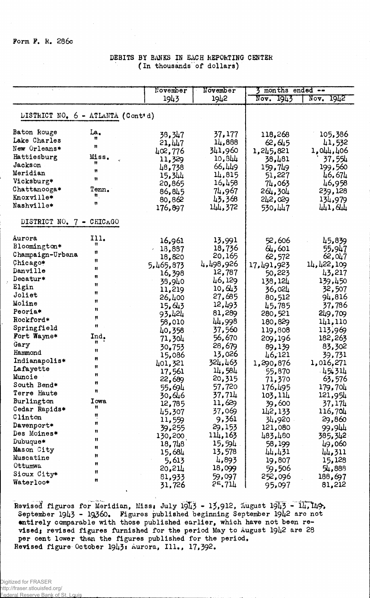### DEBITS BY BANKS IN EACH REPORTING CENTER (In thousands of dollars)

|                          |                                   | November  | November  | $3$ months ended $-$ |              |
|--------------------------|-----------------------------------|-----------|-----------|----------------------|--------------|
|                          |                                   | 1943      | 1942      | 1943<br>Nov.         | Nov.<br>1942 |
|                          |                                   |           |           |                      |              |
|                          | DISTRICT NO. 6 - ATLANTA (Cont'd) |           |           |                      |              |
| Baton Rouge              | La,                               | 38,347    | 37,177    | 118,268              | 105,386      |
| Lake Charles             |                                   | 21,447    | 14,888    | 62,645               | 41,532       |
| New Orleans*             | n                                 | 402,776   | 341,960   | 1,245,821            | 1,044,406    |
| Hattiesburg              | Miss.                             | 11,329    | 10,344    | 38,481               | 37,554       |
| Jackson                  | Ħ                                 | 48,738    | 66,449    | 159,749              | 199,560      |
| Meridian                 | 11                                | 15,344    | 14,815    | 51,227               | 46,674       |
| Vicksburg*               | n                                 | 20,865    | 16,458    | 74,063               | 46,958       |
| Chattanooga*             | Tenn.                             | 86,845    | 74,967    | 264,304              | 239,128      |
| Knoxville*               | $\mathbf{H}_1$                    | 80,862    | 43,368    | 242,029              | 134,979      |
| Nashville*               | n                                 | 176,897   | 144,372   | 530,447              | 441,644      |
| DISTRICT NO. 7 - CHICAGO |                                   |           |           |                      |              |
| Aurora                   | 111.                              | 16,961    | 13,991    | 52,606               | 45,839       |
| Bloomington*             | Ħ                                 | 13,887    | 18,736    | 64,601               | 55,947       |
| Champaign-Urbana         | Ħ                                 | 18,820    | 20,165    | 62,572               | 62,047       |
| Chicago*                 | Ħ                                 | 5,465,873 | 4,498,926 | 17,491,923           | 14,422,109   |
| Danville                 | Ħ                                 | 16,398    | 12,787    | 50,223               | 43,217       |
| Decatur*                 | 11                                | 38,940    | 46,129    | 138,124              | 139,450      |
| Elgin                    | Ħ                                 | 11,219    | 10, 643   | 36,024               | 32,507       |
| Joliet                   | Ħ                                 | 26,400    | 27,685    | 80,512               | 94,816       |
| Moline                   | Ħ                                 | 15,643    | 12,493    | 45,785               | 37,786       |
| Peoria*                  | n                                 | 93.424    | 81,289    | 280,521              | 249,709      |
| Rockford*                | Ħ                                 | 58,010    | 44,998    | 180,829              | 141,110      |
| Springfield              | 11                                | 40,358    | 37,560    | 119,808              | 113,969      |
| Fort Wayne*              | Ind.                              | 71,304    | 56,670    | 209,196              | 182,263      |
| Gary                     | Ħ                                 | 30,753    | 28,679    | 89,139               | 83,302       |
| Hammond                  | Ħ                                 | 15,086    | 13,026    | 46,121               | 39,731       |
| Indianapolis*            | n                                 | 401,321   | 324,463   | 1,290,876            | 1,016,271    |
| Lafayette                | Ħ                                 | 17,561    | 14,584    | 55,870               | 45.314       |
| Muncie                   | Ħ                                 | 22,689    | 20,315    | 71,370               | 63,576       |
| South Bend*              | n                                 | 55,694    | 57,720    | 176,495              | 179,704      |
| Terre Haute              | ₩.                                | 30,646    | 37,714    | 103,114              | 121,954      |
| Burlington               | Iowa                              | 12,785    | 11,629    | 39,600               | 37,174       |
| Cedar Rapids*            | n                                 | 45,307    | 37,069    | 142,133              | 116,704      |
| Clinton                  | Ħ<br>88                           | 11,559    | 9,361     | 34,920               | 29,860       |
| Davenport*               |                                   | 39,255    | 29,153    | 121,080              | 99,944       |
| Des Moines*              | 11                                | 130,200   | 114,163   | 483,480              | 385,342      |
| Dubuque*                 | Ħ<br>Ħ                            | 18,748    | 15,594    | 58,199               | 49,060       |
| Mason City               | Ħ                                 | 15,684    | 13,578    | 44,431               | 44,311       |
| Muscatine                | 11                                | 5,613     | 4,893     | 19,807               | 15,128       |
| Ottumwa                  | Ħ                                 | 20,214    | 18,099    | 59,506               | 54,888       |
| Sioux City*              | n                                 | 81,933    | 59,097    | 252,096              | 188,697      |
| Waterloo*                |                                   | 31,726    | 25,714    | 95,097               | 81,212       |

Revised figures for Meridian, Miss. July 1943 - 13,912, August 1943 - 14, 149,<br>September 1943 - 19360. Figures published beginning September 1942 are not<br>entirely comparable with those published earlier, which have not be Revised figure October 1943: Aurora, Ill., 17,392.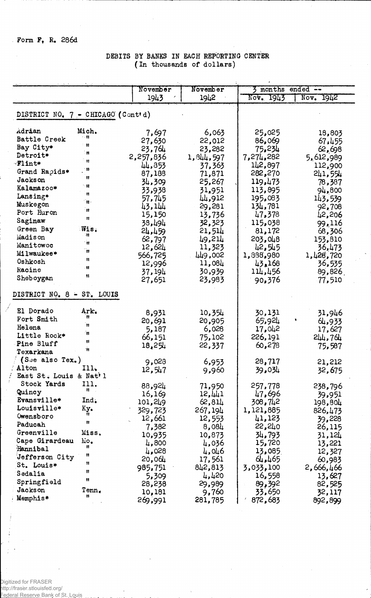Form F. R. 286d

- 1

## DEBITS BY BANKS IN EACH REPORTING CENTER (In thousands of dollars)

|                                           |              | November  | November  | 3 months ended -- |           |
|-------------------------------------------|--------------|-----------|-----------|-------------------|-----------|
|                                           |              | 1943      | 1942      | Nov. 1943         | Nov. 1942 |
|                                           |              |           |           |                   |           |
| DISTRICT NO. 7 - CHICAGO (Cont'd)         |              |           |           |                   |           |
| Adrian                                    | Mich.        | 7,697     | 6,063     | 25,025            | 18,803    |
| Battle Creek                              | 小林           | 27,630    | 22,012    | 86,069            | 67,455    |
| Bay City*                                 | ा।           | 23,764    | 23,282    | 75,234            | 62,698    |
| Detroit*                                  | ÷Ħ.          | 2,257,836 | 1,844,597 | 7,274,282         | 5,612,989 |
| Flint*                                    | 'N           | 44,853    | 37,363    | 142,897           | 112,900   |
| Grand Rapids*                             | - 11         | 87,188    | 71,871    | 282,270           | 241,554   |
| Jackson                                   | Ħ            | 34,309    | 25,267    | 119,473           | 78,387    |
| Kalamazoo*                                | $^{\circ}$ H |           |           | 113,895           |           |
| Lansing*                                  | n            | 33,938    | 31,951    | 195,083           | 94,800    |
| Muskegon                                  | Ϊij.         | 57,745    | 44,912    |                   | 143,539   |
| Port Huron                                | 'n           | 43,144    | 29,281    | 134,781           | 92,708    |
| Saginaw                                   | Ħ            | 15,150    | 13,736    | 47,378            | 42,206    |
| Green Bay                                 | Wis.         | 38,494    | 32,323    | 115,038           | 99,116    |
| Madison                                   | ાર           | 24,459    | 21,514    | 81,172            | 68,306    |
| Manitowoc                                 | ं॥           | 62,797    | 49,214    | 203,048           | 153,810   |
| Milwaukee*                                | 'n           | 12,624    | 11,323    | 42,545            | 36,473    |
| Oshkosh                                   | Ħ            | 566,725   | 449,002   | 1,888,980         | 1,428,720 |
| Racine                                    | Ħ            | 12,996    | 11,084    | 43,168            | 36,535    |
| Sheboygan                                 | Ħ            | 37,194    | 30,939    | 114,456           | 89,826    |
|                                           |              | 27,651    | 23,983    | 90,376            | 77,510    |
| DISTRICT NO. 8 - ST. LOUIS                |              |           |           |                   |           |
| El Dorado                                 | Ark.         | 8,931     | 10,354    | 30,131            | 31,946    |
| Fort Smith                                | n            | 20,691    | 20,905    | 65,924            | 64,933    |
| Helena                                    | Ħ            | 5,187     | 6,028     | 17,042            | 17,627    |
| Little Rock*                              | n            | 66,151    | 75,102    | 226,191           | 544,764   |
| Pine Bluff                                | Ħ            | 18,254    | 22,337    | 60,278            | 75,587    |
| Texarkana                                 | Ŵ.           |           |           |                   |           |
| (S <sub>d</sub> e also Tex <sub>a</sub> ) |              | 9,028     | 6,953     | 28,717            | 21,212    |
| Alton                                     | 111.         | 12,517    | 9,960     | 39,034            | 32,675    |
| East St. Louis & Nat'l                    |              |           |           |                   |           |
| Stock Yards                               | T11.         | 88,924    | 71,950    | 257,778           | 238,796   |
| Quincy                                    | n            | 16,169    | 12,441    | 47,696            | 39,951    |
| Evansville*                               | Ind.         | 101,249   | 62,811    | 308,742           | 198,804   |
| Louisville*                               | Ky.          | 329,723   | 267,194   | 1,121,885         | 826,473   |
| Owensboro                                 | 11.          | 12,661    | 12,553    | 41,123            | 39,228    |
| Paducah                                   | Ħ            | 7,382     | 8,084     | 22,240            | 26,115    |
| Greenville                                | Miss.        | 10,935    | 10,873    | 34,793            | 31,124    |
| Cape Girardeau                            | Mo.          | 4,800     | 4,036     | 15,720            | 13,221    |
| Hannibal                                  | Ħ            | 4,028     | 4,046     | 13,085            | 12,327    |
| Jefferson City                            | Ħ            | 20,064    | 17,561    | 64,465            | 60,983    |
| St. Louis*                                | 11           | 985,751   | 842,813   | 3,033,100         | 2,666,466 |
| Sedalia                                   | $\mathbf{u}$ | 5,309     | 4,420     | 16,558            | 13,627    |
| Springfield                               | Ħ            | 28,238    | 29,989    | 89,392            | 82,525    |
| Jackson                                   | Tenn.        | 10,181    | 9,760     | 33,650            | 32,117    |
| Memphis*                                  | Ħ            | 269,991   | 281,785   | 872,683           | 892,899   |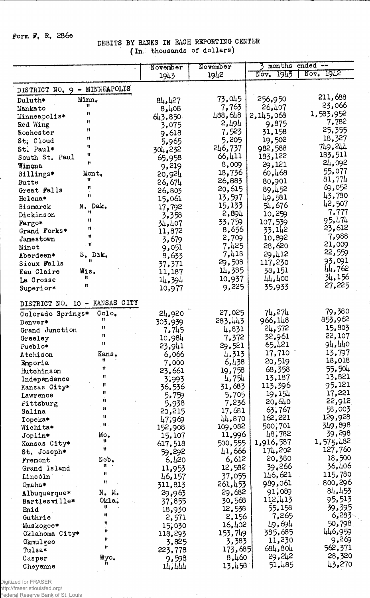## Form F, R, 286e

 $\bar{z}$ 

# DEBITS BY BANKS IN EACH REPORTING CENTER (In. thousands of dollars)

|                                        | November          | November         | 3 months ended -- |                  |
|----------------------------------------|-------------------|------------------|-------------------|------------------|
|                                        | 1943              | 1942             | Nov. 1945         | Nov. 1942        |
|                                        |                   |                  |                   |                  |
| DISTRICT NO. 9 - MINNEAPOLIS           |                   |                  |                   |                  |
| Minn.<br>Duluth*                       | 84,427            | 73,045           | 256,950           | 211,688          |
| Ħ<br>Mankato                           | 8,408             | 7,763            | 26,407            | 23,066           |
| n<br>Minneapolis*                      | 643,850           | 488,648          | 2,145,068         | 1,583,952        |
| Ħ<br>Red Wing                          | 3,075             | 2,494            | 9,875             | 7,782            |
| Ħ<br>Rochester                         | 9,618             | 7,523            | 31,158            | 25,355           |
| Ħ<br>St. Cloud                         | 5,965             | 5,205            | 19,502            | 18,327           |
| Ħ<br>St. Paul*                         | 304,232           | 246,737          | 982,588           | 749,244          |
| Ħ<br>South St. Paul                    | 65,958            | 66,411           | 183,122           | 183,511          |
| 11<br>Winona                           | 9,219             | 8,009            | 29,121            | 24,092           |
| Mont.<br>Billings*                     | 20,924            | 18,736           | 60,468            | 55,077           |
| n<br>Butte                             | 26,674            | 26,883           | 80,901            | 81,774           |
| Ħ<br>Great Falls<br>11                 | 26,803            | 20,615           | 89,452            | 69,052<br>43,780 |
| Helena*                                | 15,061            | 13,597           | 49,581            | 42,507           |
| N. Dak.<br>Bismarck<br>Ħ               | 17,792            | 15,133           | 54,676            | 7,777            |
| Dickinson<br>Ħ                         | 3,358             | 2,894            | 10,259            | 95,474           |
| Fargo*<br>$\mathbf{H}$ .               | 34,407            | 33,759           | 107,539           | 23,612           |
| Grand Forks*<br>Ħ                      | 11,872            | 8,656            | 33,142            | 7,988            |
| Jamestown<br>Ħ                         | 3,679             | 2,709            | 10,892            | 21,009           |
| Minot                                  | 9,051             | 7,425            | 28,620            | 22,559           |
| S. Dak.<br>Aberdeen*<br>$\mathbf{u}$ . | 8,633             | 7,418<br>29,508  | 29,412<br>117,230 | 93,091           |
| Sioux Falls                            | 37,371            | 14,385           | 38,151            | 44,762           |
| Wis.<br>Eau Claire<br>n                | 11,187            | 10,937           | 44,400            | 34,156           |
| La Crosse<br>Ħ                         | 14,394            | 9,225            | 35,933            | 27,225           |
| Superior*                              | 10,977            |                  |                   |                  |
| DISTRICT NO. 10 - KANSAS CITY          |                   |                  |                   |                  |
| $\text{Col}_\bullet$                   |                   | 27,025           | 74,274            | 79,380           |
| Colorado Springs*<br>Ħ                 | 24,920<br>303,939 | 283,443          | 966,148           | 853,962          |
| Denver*<br>Ħ<br>Grand Junction         | 7,745             | 4,831            | 24,572            | 15,803           |
| 11<br>Greeley                          | 10,984            | 7,372            | 32,961            | 22,107           |
| $\mathbf{H}$<br>Pueblo*                | 23,941            | 29,521           | 65,421            | 94,440           |
| Kans.<br>Atchison                      | 6,066             | 4,313            | 17,710            | 13,797           |
| Ħ<br>Emporia                           | 7,000             | 6,438            | 20,519            | 18,018           |
| n<br>Hutchinson                        | 23,661            | 19,758           | 68,358            | 55,504           |
| Ħ<br>Independence                      | 3,993             | 4,754            | 13,187            | 13,821           |
| Ħ<br>Kansas City*                      | 36,536            | 31,683           | 113,396           | 95,121           |
| Ħ<br>Lawrence                          | 5,759             | 5,705            | 19,154            | 17,221           |
| Ħ<br>Pittsburg                         | 5,938             | 7,236            | 20,640            | 22,912           |
| n<br>Salina                            | 20,215            | 17,681           | 63,767            | 58,003           |
| n<br>Topeka*                           | 47,969            | 44,870           | 162,221           | 129,928          |
| $\mathbf H$ .<br>Wichita*              | 152,908           | 109,082          | 500,701           | 349,898          |
| Mo.<br>Joplin*                         | 15,107            | 11,996           | 48,782            | 39,298           |
| n<br>Kansas City*                      | 617,518           | 500,555          | 1,916,587         | 1,575,482        |
| Ħ<br>St. Joseph*                       | 59,292            | 41,666           | 174,202           | 127,760          |
| Neb.<br>Fremont                        | 6,420             | 6,612            | 20,380            | 18,500           |
| Ħ.<br>Grand Island<br>Ħ                | 11,953            | 12,582           | 39,266            | 36,406           |
| Lincòln<br>Ħ                           | 46,157            | 37,055           | 146,621           | 115,780          |
| Omaha*                                 | 311,813           | 261,453          | 989,061           | 800,296          |
| N. M.<br>Albuquerque*                  | 29,963            | 29,682           | 91,089            | 84,453           |
| Okla.<br>Bartlesville*<br>U.           | 37,855            | 30,568           | 112,413           | 95,513           |
| Enid<br>n                              | 18,930            | 12,538           | 55,158            | 39,395<br>6,283  |
| Guthrie<br>11                          | 2,571             | 2,156            | 7,265<br>49,694   | 50,798           |
| Muskogee*<br>Ħ                         | 15,030            | 16,402           | 385,685           | 446,959          |
| Oklahoma City*<br>n                    | 118,293           | 153,749          | 11,230            | 9,269            |
| Okmulgee<br>11                         | 3,825             | 3,383            | 684,804           | 562,371          |
| Tulsa*                                 | 223,778           | 173,685<br>6,460 | 29,242            | 28,320           |
| Wyo.<br>Casper<br>11                   | 9,598             |                  | 51,485            | 43,270           |
| Cheyenne                               | 14,444            | 13,458           |                   |                  |

 $\hat{\Sigma}_\chi$ 

Digitized for FRASER

http://fraser.stlouisfed.org/ Federal Reserve Bank of St. Louis